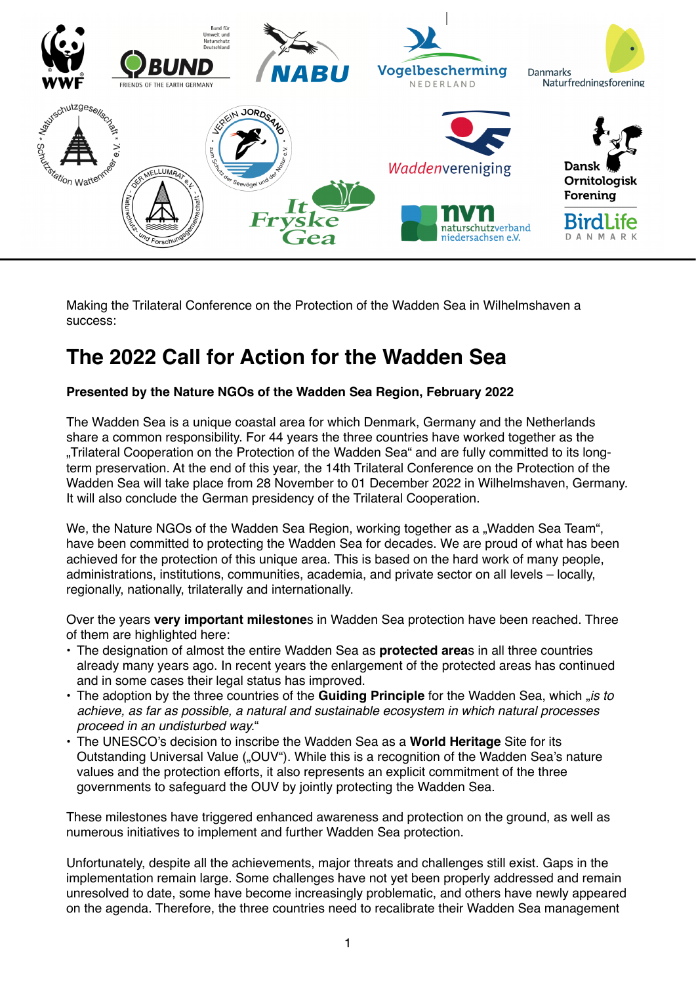

Making the Trilateral Conference on the Protection of the Wadden Sea in Wilhelmshaven a success:

# **The 2022 Call for Action for the Wadden Sea**

### **Presented by the Nature NGOs of the Wadden Sea Region, February 2022**

The Wadden Sea is a unique coastal area for which Denmark, Germany and the Netherlands share a common responsibility. For 44 years the three countries have worked together as the "Trilateral Cooperation on the Protection of the Wadden Sea" and are fully committed to its longterm preservation. At the end of this year, the 14th Trilateral Conference on the Protection of the Wadden Sea will take place from 28 November to 01 December 2022 in Wilhelmshaven, Germany. It will also conclude the German presidency of the Trilateral Cooperation.

We, the Nature NGOs of the Wadden Sea Region, working together as a "Wadden Sea Team", have been committed to protecting the Wadden Sea for decades. We are proud of what has been achieved for the protection of this unique area. This is based on the hard work of many people, administrations, institutions, communities, academia, and private sector on all levels – locally, regionally, nationally, trilaterally and internationally.

Over the years **very important milestone**s in Wadden Sea protection have been reached. Three of them are highlighted here:

- The designation of almost the entire Wadden Sea as **protected area**s in all three countries already many years ago. In recent years the enlargement of the protected areas has continued and in some cases their legal status has improved.
- The adoption by the three countries of the **Guiding Principle** for the Wadden Sea, which "*is to achieve, as far as possible, a natural and sustainable ecosystem in which natural processes proceed in an undisturbed way.*"
- The UNESCO's decision to inscribe the Wadden Sea as a **World Heritage** Site for its Outstanding Universal Value ("OUV"). While this is a recognition of the Wadden Sea's nature values and the protection efforts, it also represents an explicit commitment of the three governments to safeguard the OUV by jointly protecting the Wadden Sea.

These milestones have triggered enhanced awareness and protection on the ground, as well as numerous initiatives to implement and further Wadden Sea protection.

Unfortunately, despite all the achievements, major threats and challenges still exist. Gaps in the implementation remain large. Some challenges have not yet been properly addressed and remain unresolved to date, some have become increasingly problematic, and others have newly appeared on the agenda. Therefore, the three countries need to recalibrate their Wadden Sea management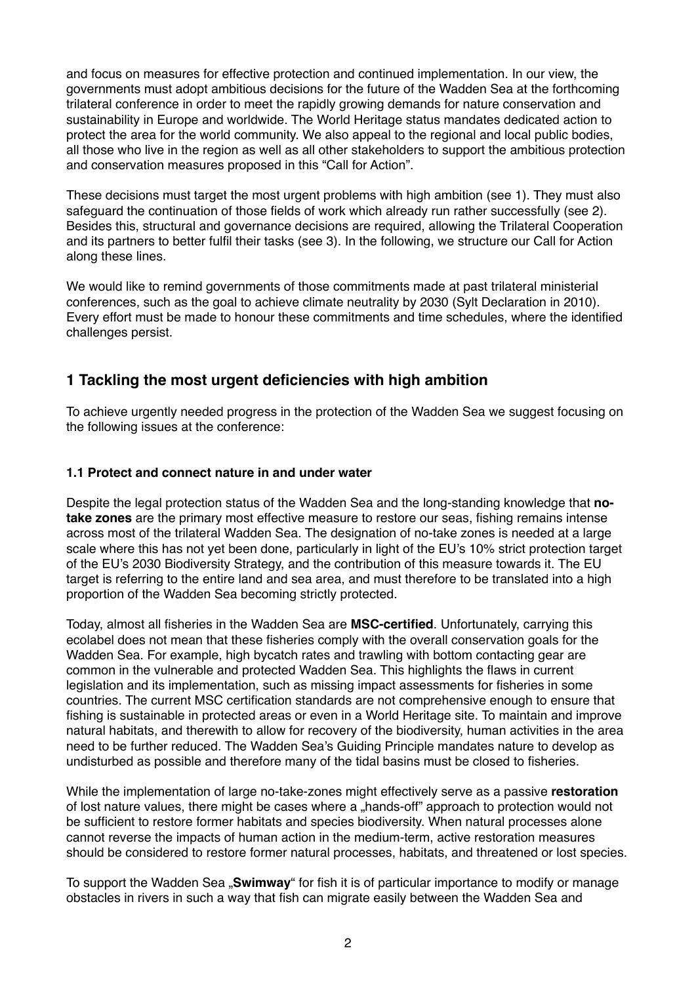and focus on measures for effective protection and continued implementation. In our view, the governments must adopt ambitious decisions for the future of the Wadden Sea at the forthcoming trilateral conference in order to meet the rapidly growing demands for nature conservation and sustainability in Europe and worldwide. The World Heritage status mandates dedicated action to protect the area for the world community. We also appeal to the regional and local public bodies, all those who live in the region as well as all other stakeholders to support the ambitious protection and conservation measures proposed in this "Call for Action".

These decisions must target the most urgent problems with high ambition (see 1). They must also safeguard the continuation of those fields of work which already run rather successfully (see 2). Besides this, structural and governance decisions are required, allowing the Trilateral Cooperation and its partners to better fulfil their tasks (see 3). In the following, we structure our Call for Action along these lines.

We would like to remind governments of those commitments made at past trilateral ministerial conferences, such as the goal to achieve climate neutrality by 2030 (Sylt Declaration in 2010). Every effort must be made to honour these commitments and time schedules, where the identified challenges persist.

# **1 Tackling the most urgent deficiencies with high ambition**

To achieve urgently needed progress in the protection of the Wadden Sea we suggest focusing on the following issues at the conference:

### **1.1 Protect and connect nature in and under water**

Despite the legal protection status of the Wadden Sea and the long-standing knowledge that **notake zones** are the primary most effective measure to restore our seas, fishing remains intense across most of the trilateral Wadden Sea. The designation of no-take zones is needed at a large scale where this has not yet been done, particularly in light of the EU's 10% strict protection target of the EU's 2030 Biodiversity Strategy, and the contribution of this measure towards it. The EU target is referring to the entire land and sea area, and must therefore to be translated into a high proportion of the Wadden Sea becoming strictly protected.

Today, almost all fisheries in the Wadden Sea are **MSC-certified**. Unfortunately, carrying this ecolabel does not mean that these fisheries comply with the overall conservation goals for the Wadden Sea. For example, high bycatch rates and trawling with bottom contacting gear are common in the vulnerable and protected Wadden Sea. This highlights the flaws in current legislation and its implementation, such as missing impact assessments for fisheries in some countries. The current MSC certification standards are not comprehensive enough to ensure that fishing is sustainable in protected areas or even in a World Heritage site. To maintain and improve natural habitats, and therewith to allow for recovery of the biodiversity, human activities in the area need to be further reduced. The Wadden Sea's Guiding Principle mandates nature to develop as undisturbed as possible and therefore many of the tidal basins must be closed to fisheries.

While the implementation of large no-take-zones might effectively serve as a passive **restoration** of lost nature values, there might be cases where a "hands-off" approach to protection would not be sufficient to restore former habitats and species biodiversity. When natural processes alone cannot reverse the impacts of human action in the medium-term, active restoration measures should be considered to restore former natural processes, habitats, and threatened or lost species.

To support the Wadden Sea "Swimway" for fish it is of particular importance to modify or manage obstacles in rivers in such a way that fish can migrate easily between the Wadden Sea and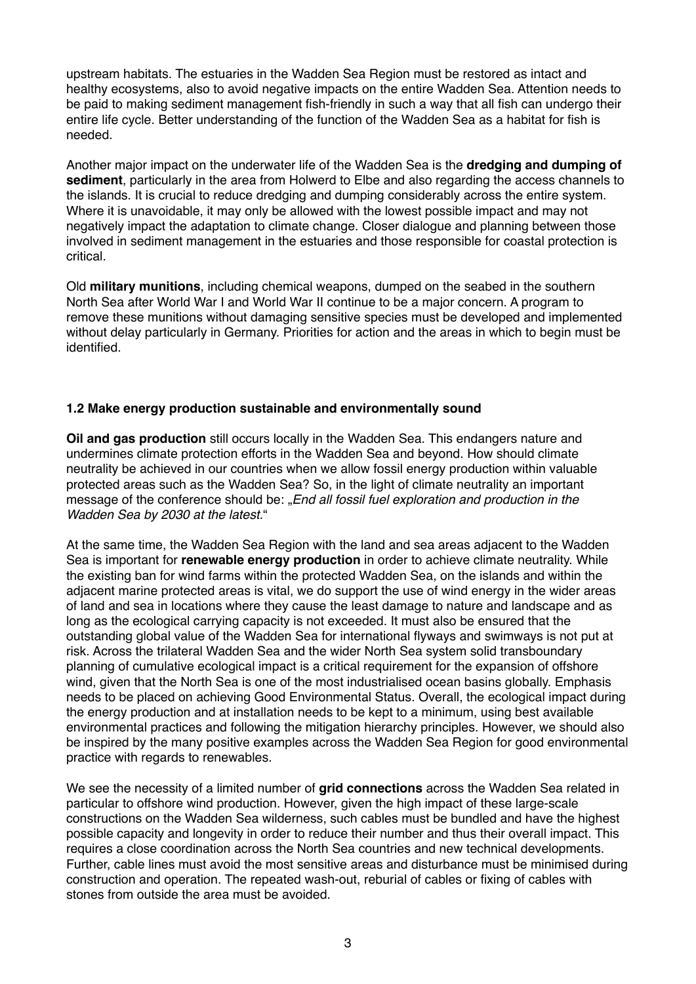upstream habitats. The estuaries in the Wadden Sea Region must be restored as intact and healthy ecosystems, also to avoid negative impacts on the entire Wadden Sea. Attention needs to be paid to making sediment management fish-friendly in such a way that all fish can undergo their entire life cycle. Better understanding of the function of the Wadden Sea as a habitat for fish is needed.

Another major impact on the underwater life of the Wadden Sea is the **dredging and dumping of sediment**, particularly in the area from Holwerd to Elbe and also regarding the access channels to the islands. It is crucial to reduce dredging and dumping considerably across the entire system. Where it is unavoidable, it may only be allowed with the lowest possible impact and may not negatively impact the adaptation to climate change. Closer dialogue and planning between those involved in sediment management in the estuaries and those responsible for coastal protection is critical.

Old **military munitions**, including chemical weapons, dumped on the seabed in the southern North Sea after World War I and World War II continue to be a major concern. A program to remove these munitions without damaging sensitive species must be developed and implemented without delay particularly in Germany. Priorities for action and the areas in which to begin must be identified.

### **1.2 Make energy production sustainable and environmentally sound**

**Oil and gas production** still occurs locally in the Wadden Sea. This endangers nature and undermines climate protection efforts in the Wadden Sea and beyond. How should climate neutrality be achieved in our countries when we allow fossil energy production within valuable protected areas such as the Wadden Sea? So, in the light of climate neutrality an important message of the conference should be: "*End all fossil fuel exploration and production in the Wadden Sea by 2030 at the latest.*"

At the same time, the Wadden Sea Region with the land and sea areas adjacent to the Wadden Sea is important for **renewable energy production** in order to achieve climate neutrality. While the existing ban for wind farms within the protected Wadden Sea, on the islands and within the adjacent marine protected areas is vital, we do support the use of wind energy in the wider areas of land and sea in locations where they cause the least damage to nature and landscape and as long as the ecological carrying capacity is not exceeded. It must also be ensured that the outstanding global value of the Wadden Sea for international flyways and swimways is not put at risk. Across the trilateral Wadden Sea and the wider North Sea system solid transboundary planning of cumulative ecological impact is a critical requirement for the expansion of offshore wind, given that the North Sea is one of the most industrialised ocean basins globally. Emphasis needs to be placed on achieving Good Environmental Status. Overall, the ecological impact during the energy production and at installation needs to be kept to a minimum, using best available environmental practices and following the mitigation hierarchy principles. However, we should also be inspired by the many positive examples across the Wadden Sea Region for good environmental practice with regards to renewables.

We see the necessity of a limited number of **grid connections** across the Wadden Sea related in particular to offshore wind production. However, given the high impact of these large-scale constructions on the Wadden Sea wilderness, such cables must be bundled and have the highest possible capacity and longevity in order to reduce their number and thus their overall impact. This requires a close coordination across the North Sea countries and new technical developments. Further, cable lines must avoid the most sensitive areas and disturbance must be minimised during construction and operation. The repeated wash-out, reburial of cables or fixing of cables with stones from outside the area must be avoided.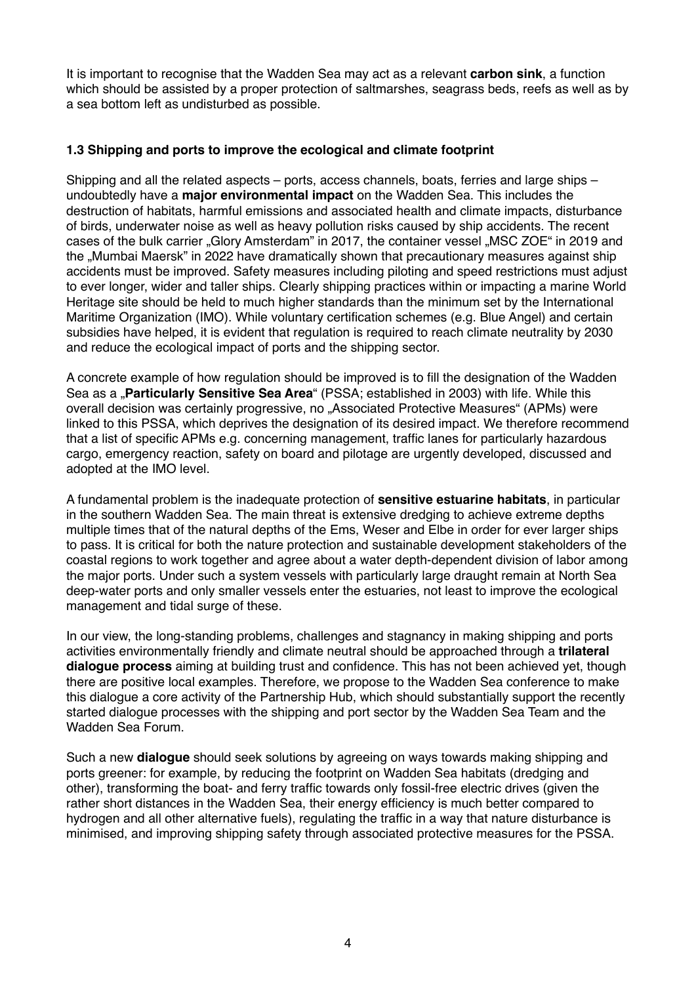It is important to recognise that the Wadden Sea may act as a relevant **carbon sink**, a function which should be assisted by a proper protection of saltmarshes, seagrass beds, reefs as well as by a sea bottom left as undisturbed as possible.

### **1.3 Shipping and ports to improve the ecological and climate footprint**

Shipping and all the related aspects – ports, access channels, boats, ferries and large ships – undoubtedly have a **major environmental impact** on the Wadden Sea. This includes the destruction of habitats, harmful emissions and associated health and climate impacts, disturbance of birds, underwater noise as well as heavy pollution risks caused by ship accidents. The recent cases of the bulk carrier "Glory Amsterdam" in 2017, the container vessel "MSC ZOE" in 2019 and the "Mumbai Maersk" in 2022 have dramatically shown that precautionary measures against ship accidents must be improved. Safety measures including piloting and speed restrictions must adjust to ever longer, wider and taller ships. Clearly shipping practices within or impacting a marine World Heritage site should be held to much higher standards than the minimum set by the International Maritime Organization (IMO). While voluntary certification schemes (e.g. Blue Angel) and certain subsidies have helped, it is evident that regulation is required to reach climate neutrality by 2030 and reduce the ecological impact of ports and the shipping sector.

A concrete example of how regulation should be improved is to fill the designation of the Wadden Sea as a **"Particularly Sensitive Sea Area**" (PSSA; established in 2003) with life. While this overall decision was certainly progressive, no "Associated Protective Measures" (APMs) were linked to this PSSA, which deprives the designation of its desired impact. We therefore recommend that a list of specific APMs e.g. concerning management, traffic lanes for particularly hazardous cargo, emergency reaction, safety on board and pilotage are urgently developed, discussed and adopted at the IMO level.

A fundamental problem is the inadequate protection of **sensitive estuarine habitats**, in particular in the southern Wadden Sea. The main threat is extensive dredging to achieve extreme depths multiple times that of the natural depths of the Ems, Weser and Elbe in order for ever larger ships to pass. It is critical for both the nature protection and sustainable development stakeholders of the coastal regions to work together and agree about a water depth-dependent division of labor among the major ports. Under such a system vessels with particularly large draught remain at North Sea deep-water ports and only smaller vessels enter the estuaries, not least to improve the ecological management and tidal surge of these.

In our view, the long-standing problems, challenges and stagnancy in making shipping and ports activities environmentally friendly and climate neutral should be approached through a **trilateral dialogue process** aiming at building trust and confidence. This has not been achieved yet, though there are positive local examples. Therefore, we propose to the Wadden Sea conference to make this dialogue a core activity of the Partnership Hub, which should substantially support the recently started dialogue processes with the shipping and port sector by the Wadden Sea Team and the Wadden Sea Forum.

Such a new **dialogue** should seek solutions by agreeing on ways towards making shipping and ports greener: for example, by reducing the footprint on Wadden Sea habitats (dredging and other), transforming the boat- and ferry traffic towards only fossil-free electric drives (given the rather short distances in the Wadden Sea, their energy efficiency is much better compared to hydrogen and all other alternative fuels), regulating the traffic in a way that nature disturbance is minimised, and improving shipping safety through associated protective measures for the PSSA.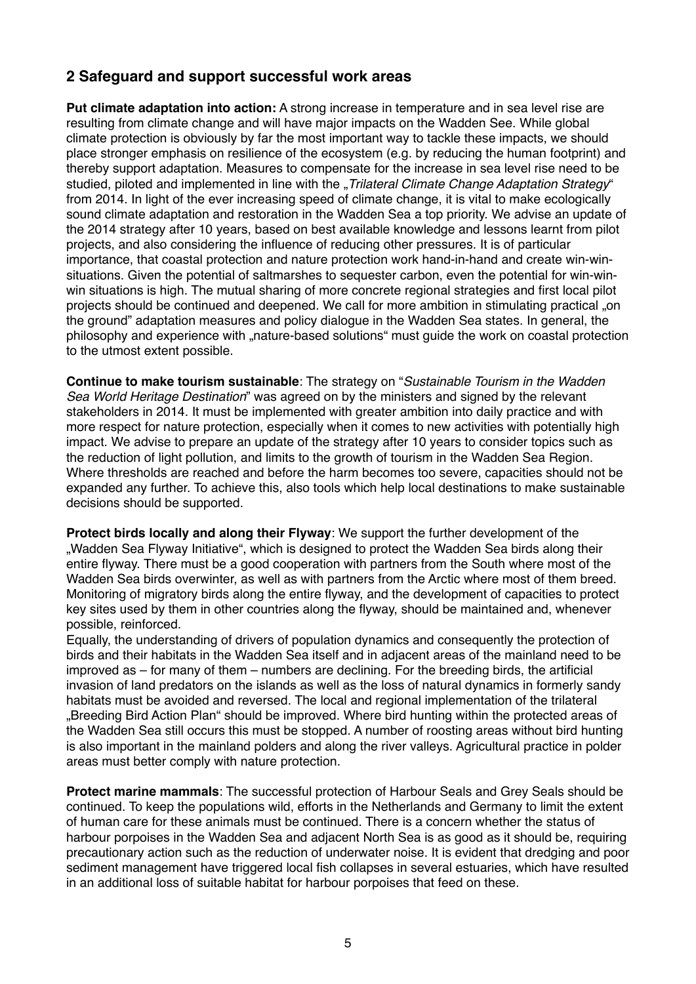# **2 Safeguard and support successful work areas**

**Put climate adaptation into action:** A strong increase in temperature and in sea level rise are resulting from climate change and will have major impacts on the Wadden See. While global climate protection is obviously by far the most important way to tackle these impacts, we should place stronger emphasis on resilience of the ecosystem (e.g. by reducing the human footprint) and thereby support adaptation. Measures to compensate for the increase in sea level rise need to be studied, piloted and implemented in line with the "*Trilateral Climate Change Adaptation Strategy*" from 2014. In light of the ever increasing speed of climate change, it is vital to make ecologically sound climate adaptation and restoration in the Wadden Sea a top priority. We advise an update of the 2014 strategy after 10 years, based on best available knowledge and lessons learnt from pilot projects, and also considering the influence of reducing other pressures. It is of particular importance, that coastal protection and nature protection work hand-in-hand and create win-winsituations. Given the potential of saltmarshes to sequester carbon, even the potential for win-winwin situations is high. The mutual sharing of more concrete regional strategies and first local pilot projects should be continued and deepened. We call for more ambition in stimulating practical "on the ground" adaptation measures and policy dialogue in the Wadden Sea states. In general, the philosophy and experience with "nature-based solutions" must guide the work on coastal protection to the utmost extent possible.

**Continue to make tourism sustainable**: The strategy on "*Sustainable Tourism in the Wadden Sea World Heritage Destination*" was agreed on by the ministers and signed by the relevant stakeholders in 2014. It must be implemented with greater ambition into daily practice and with more respect for nature protection, especially when it comes to new activities with potentially high impact. We advise to prepare an update of the strategy after 10 years to consider topics such as the reduction of light pollution, and limits to the growth of tourism in the Wadden Sea Region. Where thresholds are reached and before the harm becomes too severe, capacities should not be expanded any further. To achieve this, also tools which help local destinations to make sustainable decisions should be supported.

**Protect birds locally and along their Flyway**: We support the further development of the "Wadden Sea Flyway Initiative", which is designed to protect the Wadden Sea birds along their entire flyway. There must be a good cooperation with partners from the South where most of the Wadden Sea birds overwinter, as well as with partners from the Arctic where most of them breed. Monitoring of migratory birds along the entire flyway, and the development of capacities to protect key sites used by them in other countries along the flyway, should be maintained and, whenever possible, reinforced.

Equally, the understanding of drivers of population dynamics and consequently the protection of birds and their habitats in the Wadden Sea itself and in adjacent areas of the mainland need to be improved as – for many of them – numbers are declining. For the breeding birds, the artificial invasion of land predators on the islands as well as the loss of natural dynamics in formerly sandy habitats must be avoided and reversed. The local and regional implementation of the trilateral "Breeding Bird Action Plan" should be improved. Where bird hunting within the protected areas of the Wadden Sea still occurs this must be stopped. A number of roosting areas without bird hunting is also important in the mainland polders and along the river valleys. Agricultural practice in polder areas must better comply with nature protection.

**Protect marine mammals**: The successful protection of Harbour Seals and Grey Seals should be continued. To keep the populations wild, efforts in the Netherlands and Germany to limit the extent of human care for these animals must be continued. There is a concern whether the status of harbour porpoises in the Wadden Sea and adjacent North Sea is as good as it should be, requiring precautionary action such as the reduction of underwater noise. It is evident that dredging and poor sediment management have triggered local fish collapses in several estuaries, which have resulted in an additional loss of suitable habitat for harbour porpoises that feed on these.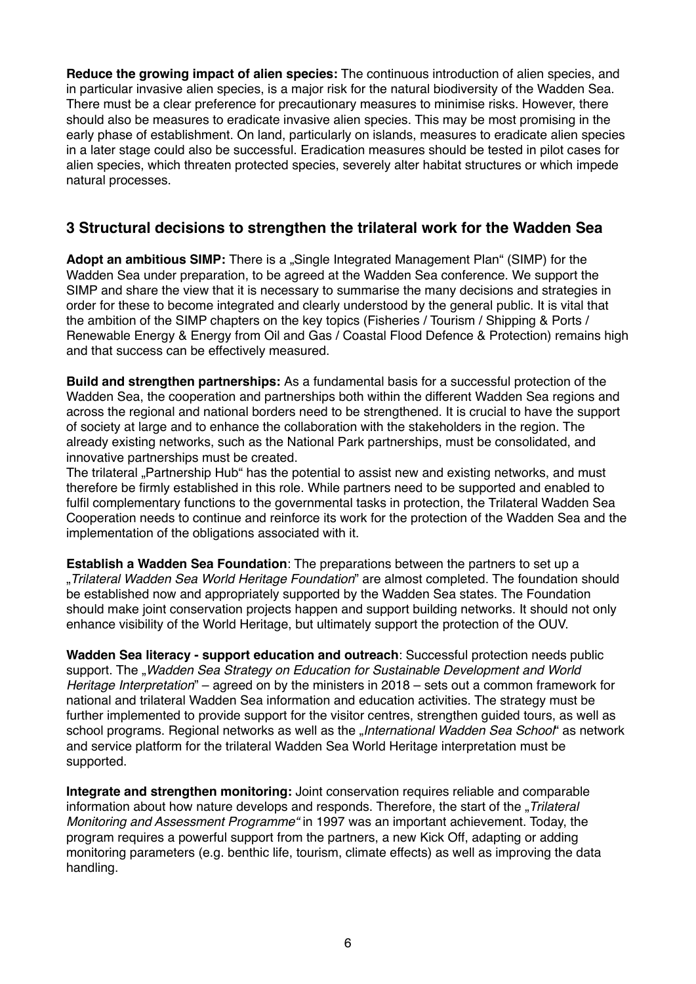**Reduce the growing impact of alien species:** The continuous introduction of alien species, and in particular invasive alien species, is a major risk for the natural biodiversity of the Wadden Sea. There must be a clear preference for precautionary measures to minimise risks. However, there should also be measures to eradicate invasive alien species. This may be most promising in the early phase of establishment. On land, particularly on islands, measures to eradicate alien species in a later stage could also be successful. Eradication measures should be tested in pilot cases for alien species, which threaten protected species, severely alter habitat structures or which impede natural processes.

# **3 Structural decisions to strengthen the trilateral work for the Wadden Sea**

Adopt an ambitious SIMP: There is a "Single Integrated Management Plan" (SIMP) for the Wadden Sea under preparation, to be agreed at the Wadden Sea conference. We support the SIMP and share the view that it is necessary to summarise the many decisions and strategies in order for these to become integrated and clearly understood by the general public. It is vital that the ambition of the SIMP chapters on the key topics (Fisheries / Tourism / Shipping & Ports / Renewable Energy & Energy from Oil and Gas / Coastal Flood Defence & Protection) remains high and that success can be effectively measured.

**Build and strengthen partnerships:** As a fundamental basis for a successful protection of the Wadden Sea, the cooperation and partnerships both within the different Wadden Sea regions and across the regional and national borders need to be strengthened. It is crucial to have the support of society at large and to enhance the collaboration with the stakeholders in the region. The already existing networks, such as the National Park partnerships, must be consolidated, and innovative partnerships must be created.

The trilateral "Partnership Hub" has the potential to assist new and existing networks, and must therefore be firmly established in this role. While partners need to be supported and enabled to fulfil complementary functions to the governmental tasks in protection, the Trilateral Wadden Sea Cooperation needs to continue and reinforce its work for the protection of the Wadden Sea and the implementation of the obligations associated with it.

**Establish a Wadden Sea Foundation**: The preparations between the partners to set up a "*Trilateral Wadden Sea World Heritage Foundation*" are almost completed. The foundation should be established now and appropriately supported by the Wadden Sea states. The Foundation should make joint conservation projects happen and support building networks. It should not only enhance visibility of the World Heritage, but ultimately support the protection of the OUV.

**Wadden Sea literacy - support education and outreach**: Successful protection needs public support. The "Wadden Sea Strategy on Education for Sustainable Development and World *Heritage Interpretation*" – agreed on by the ministers in 2018 – sets out a common framework for national and trilateral Wadden Sea information and education activities. The strategy must be further implemented to provide support for the visitor centres, strengthen guided tours, as well as school programs. Regional networks as well as the "*International Wadden Sea School*" as network and service platform for the trilateral Wadden Sea World Heritage interpretation must be supported.

**Integrate and strengthen monitoring:** Joint conservation requires reliable and comparable information about how nature develops and responds. Therefore, the start of the *"Trilateral Monitoring and Assessment Programme"* in 1997 was an important achievement. Today, the program requires a powerful support from the partners, a new Kick Off, adapting or adding monitoring parameters (e.g. benthic life, tourism, climate effects) as well as improving the data handling.